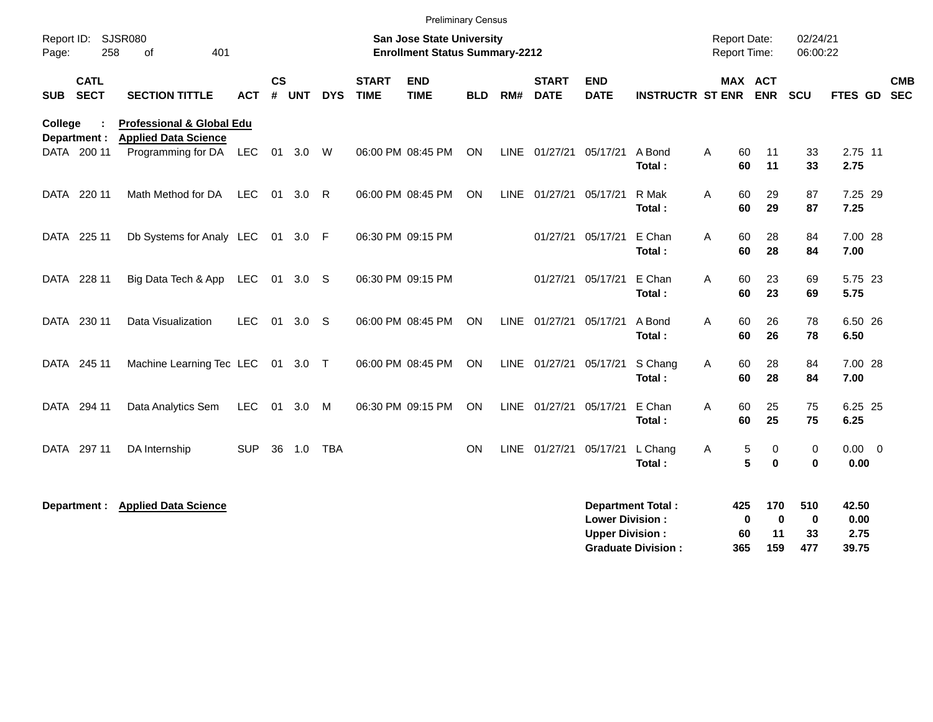|            | <b>Preliminary Census</b><br><b>Report Date:</b>                                                                       |                                                                                           |            |           |          |              |                             |                           |            |             |                             |                                                  |                                                       |   |                                 |                              |                                 |                                |                          |
|------------|------------------------------------------------------------------------------------------------------------------------|-------------------------------------------------------------------------------------------|------------|-----------|----------|--------------|-----------------------------|---------------------------|------------|-------------|-----------------------------|--------------------------------------------------|-------------------------------------------------------|---|---------------------------------|------------------------------|---------------------------------|--------------------------------|--------------------------|
| Page:      | SJSR080<br><b>San Jose State University</b><br>Report ID:<br>258<br>401<br><b>Enrollment Status Summary-2212</b><br>οf |                                                                                           |            |           |          |              |                             |                           |            |             |                             | <b>Report Time:</b>                              |                                                       |   | 02/24/21<br>06:00:22            |                              |                                 |                                |                          |
| <b>SUB</b> | <b>CATL</b><br><b>SECT</b>                                                                                             | <b>SECTION TITTLE</b>                                                                     | <b>ACT</b> | <b>CS</b> | # UNT    | <b>DYS</b>   | <b>START</b><br><b>TIME</b> | <b>END</b><br><b>TIME</b> | <b>BLD</b> | RM#         | <b>START</b><br><b>DATE</b> | <b>END</b><br><b>DATE</b>                        | <b>INSTRUCTR ST ENR</b>                               |   | MAX ACT                         | <b>ENR</b>                   | SCU                             | <b>FTES GD</b>                 | <b>CMB</b><br><b>SEC</b> |
| College    | Department :<br>DATA 200 11                                                                                            | <b>Professional &amp; Global Edu</b><br><b>Applied Data Science</b><br>Programming for DA | LEC        | 01        | 3.0      | W            |                             | 06:00 PM 08:45 PM         | <b>ON</b>  | <b>LINE</b> | 01/27/21                    | 05/17/21                                         | A Bond<br>Total:                                      | A | 60<br>60                        | 11<br>11                     | 33<br>33                        | 2.75 11<br>2.75                |                          |
| DATA       | 220 11                                                                                                                 | Math Method for DA                                                                        | <b>LEC</b> | 01        | 3.0      | $\mathsf{R}$ |                             | 06:00 PM 08:45 PM         | <b>ON</b>  |             | LINE 01/27/21               | 05/17/21                                         | R Mak<br>Total:                                       | A | 60<br>60                        | 29<br>29                     | 87<br>87                        | 7.25 29<br>7.25                |                          |
| DATA       | 225 11                                                                                                                 | Db Systems for Analy LEC 01 3.0 F                                                         |            |           |          |              | 06:30 PM 09:15 PM           |                           |            |             | 01/27/21                    | 05/17/21                                         | E Chan<br>Total:                                      | A | 60<br>60                        | 28<br>28                     | 84<br>84                        | 7.00 28<br>7.00                |                          |
| DATA       | 228 11                                                                                                                 | Big Data Tech & App                                                                       | LEC        |           | 01 3.0 S |              | 06:30 PM 09:15 PM           |                           |            |             | 01/27/21                    | 05/17/21                                         | E Chan<br>Total:                                      | A | 60<br>60                        | 23<br>23                     | 69<br>69                        | 5.75 23<br>5.75                |                          |
| DATA       | 230 11                                                                                                                 | Data Visualization                                                                        | <b>LEC</b> | 01        | 3.0      | -S           |                             | 06:00 PM 08:45 PM         | ON         |             | LINE 01/27/21               | 05/17/21                                         | A Bond<br>Total:                                      | A | 60<br>60                        | 26<br>26                     | 78<br>78                        | 6.50 26<br>6.50                |                          |
| DATA       | 245 11                                                                                                                 | Machine Learning Tec LEC                                                                  |            | 01        | 3.0      | $\top$       |                             | 06:00 PM 08:45 PM         | <b>ON</b>  | <b>LINE</b> | 01/27/21                    | 05/17/21                                         | S Chang<br>Total:                                     | A | 60<br>60                        | 28<br>28                     | 84<br>84                        | 7.00 28<br>7.00                |                          |
| DATA       | 294 11                                                                                                                 | Data Analytics Sem                                                                        | <b>LEC</b> | 01        | 3.0      | M            |                             | 06:30 PM 09:15 PM         | <b>ON</b>  |             | LINE 01/27/21               | 05/17/21                                         | E Chan<br>Total:                                      | A | 60<br>60                        | 25<br>25                     | 75<br>75                        | 6.25 25<br>6.25                |                          |
| DATA       | 297 11                                                                                                                 | DA Internship                                                                             | <b>SUP</b> | 36        | 1.0      | <b>TBA</b>   |                             |                           | ON         | <b>LINE</b> | 01/27/21                    | 05/17/21                                         | L Chang<br>Total:                                     | A | 5<br>5                          | 0<br>$\mathbf 0$             | 0<br>$\bf{0}$                   | $0.00 \t 0$<br>0.00            |                          |
|            | Department :                                                                                                           | <b>Applied Data Science</b>                                                               |            |           |          |              |                             |                           |            |             |                             | <b>Lower Division:</b><br><b>Upper Division:</b> | <b>Department Total:</b><br><b>Graduate Division:</b> |   | 425<br>$\mathbf 0$<br>60<br>365 | 170<br>$\bf{0}$<br>11<br>159 | 510<br>$\mathbf 0$<br>33<br>477 | 42.50<br>0.00<br>2.75<br>39.75 |                          |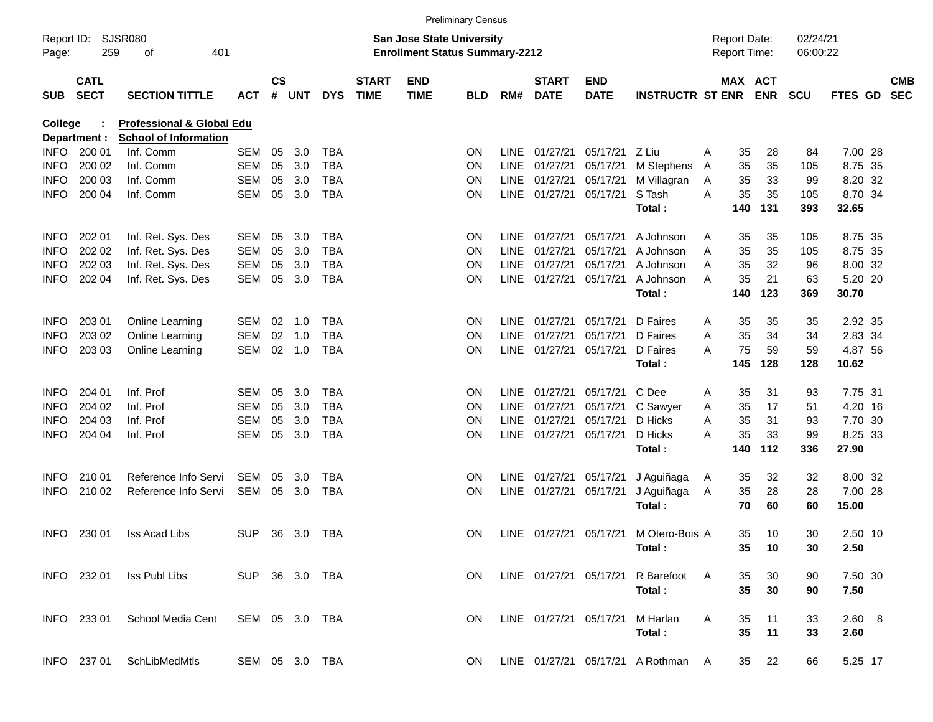|                     |                            |                              |                |               |        |            |                             |                                                                           | <b>Preliminary Census</b> |             |                             |                        |                                    |   |                                            |            |                      |                  |                          |
|---------------------|----------------------------|------------------------------|----------------|---------------|--------|------------|-----------------------------|---------------------------------------------------------------------------|---------------------------|-------------|-----------------------------|------------------------|------------------------------------|---|--------------------------------------------|------------|----------------------|------------------|--------------------------|
| Report ID:<br>Page: | 259                        | <b>SJSR080</b><br>401<br>οf  |                |               |        |            |                             | <b>San Jose State University</b><br><b>Enrollment Status Summary-2212</b> |                           |             |                             |                        |                                    |   | <b>Report Date:</b><br><b>Report Time:</b> |            | 02/24/21<br>06:00:22 |                  |                          |
| <b>SUB</b>          | <b>CATL</b><br><b>SECT</b> | <b>SECTION TITTLE</b>        | <b>ACT</b>     | $\mathsf{cs}$ | # UNT  | <b>DYS</b> | <b>START</b><br><b>TIME</b> | <b>END</b><br><b>TIME</b>                                                 | <b>BLD</b>                | RM#         | <b>START</b><br><b>DATE</b> | END<br><b>DATE</b>     | <b>INSTRUCTR ST ENR</b>            |   | MAX ACT                                    | <b>ENR</b> | <b>SCU</b>           | FTES GD          | <b>CMB</b><br><b>SEC</b> |
| College             |                            | Professional & Global Edu    |                |               |        |            |                             |                                                                           |                           |             |                             |                        |                                    |   |                                            |            |                      |                  |                          |
|                     | Department :               | <b>School of Information</b> |                |               |        |            |                             |                                                                           |                           |             |                             |                        |                                    |   |                                            |            |                      |                  |                          |
| INFO.               | 200 01                     | Inf. Comm                    | SEM            | 05            | 3.0    | <b>TBA</b> |                             |                                                                           | ON                        | LINE        | 01/27/21                    | 05/17/21               | Z Liu                              | A | 35                                         | 28         | 84                   | 7.00 28          |                          |
| <b>INFO</b>         | 200 02                     | Inf. Comm                    | <b>SEM</b>     | 05            | 3.0    | TBA        |                             |                                                                           | ΟN                        | LINE        | 01/27/21                    | 05/17/21               | M Stephens                         | A | 35                                         | 35         | 105                  | 8.75 35          |                          |
| INFO                | 200 03                     | Inf. Comm                    | <b>SEM</b>     | 05            | 3.0    | TBA        |                             |                                                                           | ON                        | LINE        | 01/27/21                    | 05/17/21               | M Villagran                        | A | 35                                         | 33         | 99                   | 8.20 32          |                          |
| <b>INFO</b>         | 200 04                     | Inf. Comm                    | <b>SEM</b>     | 05            | 3.0    | <b>TBA</b> |                             |                                                                           | ON                        |             | LINE 01/27/21               | 05/17/21               | S Tash<br>Total:                   | A | 35<br>140                                  | 35<br>131  | 105<br>393           | 8.70 34<br>32.65 |                          |
|                     |                            |                              |                |               |        |            |                             |                                                                           |                           |             |                             |                        |                                    |   |                                            |            |                      |                  |                          |
| <b>INFO</b>         | 202 01                     | Inf. Ret. Sys. Des           | SEM            | 05            | 3.0    | <b>TBA</b> |                             |                                                                           | ON                        |             | LINE 01/27/21               | 05/17/21               | A Johnson                          | Α | 35                                         | 35         | 105                  | 8.75 35          |                          |
| <b>INFO</b>         | 202 02                     | Inf. Ret. Sys. Des           | <b>SEM</b>     | 05            | 3.0    | TBA        |                             |                                                                           | ΟN                        | <b>LINE</b> | 01/27/21                    | 05/17/21               | A Johnson                          | A | 35                                         | 35         | 105                  | 8.75 35          |                          |
| <b>INFO</b>         | 202 03                     | Inf. Ret. Sys. Des           | <b>SEM</b>     | 05            | 3.0    | TBA        |                             |                                                                           | ΟN                        | <b>LINE</b> | 01/27/21                    | 05/17/21               | A Johnson                          | A | 35                                         | 32         | 96                   | 8.00 32          |                          |
| <b>INFO</b>         | 202 04                     | Inf. Ret. Sys. Des           | <b>SEM</b>     | 05            | 3.0    | <b>TBA</b> |                             |                                                                           | ΟN                        |             | LINE 01/27/21               | 05/17/21               | A Johnson                          | A | 35                                         | 21         | 63                   | 5.20 20          |                          |
|                     |                            |                              |                |               |        |            |                             |                                                                           |                           |             |                             |                        | Total:                             |   | 140                                        | 123        | 369                  | 30.70            |                          |
| <b>INFO</b>         | 203 01                     | Online Learning              | SEM            | 02            | 1.0    | <b>TBA</b> |                             |                                                                           | ON                        | LINE        | 01/27/21                    | 05/17/21               | D Faires                           | A | 35                                         | 35         | 35                   | 2.92 35          |                          |
| <b>INFO</b>         | 203 02                     | Online Learning              | <b>SEM</b>     | 02            | 1.0    | TBA        |                             |                                                                           | ΟN                        | <b>LINE</b> | 01/27/21                    | 05/17/21               | D Faires                           | A | 35                                         | 34         | 34                   | 2.83 34          |                          |
| <b>INFO</b>         | 203 03                     | Online Learning              | <b>SEM</b>     |               | 02 1.0 | <b>TBA</b> |                             |                                                                           | ON                        |             | LINE 01/27/21               | 05/17/21               | D Faires                           | A | 75                                         | 59         | 59                   | 4.87 56          |                          |
|                     |                            |                              |                |               |        |            |                             |                                                                           |                           |             |                             |                        | Total:                             |   | 145                                        | 128        | 128                  | 10.62            |                          |
| <b>INFO</b>         | 204 01                     | Inf. Prof                    | SEM            | 05            | 3.0    | <b>TBA</b> |                             |                                                                           | ON                        | LINE        | 01/27/21                    | 05/17/21               | C Dee                              | Α | 35                                         | 31         | 93                   | 7.75 31          |                          |
| <b>INFO</b>         | 204 02                     | Inf. Prof                    | SEM            | 05            | 3.0    | TBA        |                             |                                                                           | ON                        | LINE        | 01/27/21                    | 05/17/21               | C Sawyer                           | A | 35                                         | 17         | 51                   | 4.20 16          |                          |
| INFO                | 204 03                     | Inf. Prof                    | SEM            | 05            | 3.0    | TBA        |                             |                                                                           | ΟN                        | LINE        | 01/27/21                    | 05/17/21               | D Hicks                            | A | 35                                         | 31         | 93                   | 7.70 30          |                          |
| <b>INFO</b>         | 204 04                     | Inf. Prof                    | <b>SEM</b>     | 05            | 3.0    | <b>TBA</b> |                             |                                                                           | ON                        |             | LINE 01/27/21               | 05/17/21               | D Hicks                            | A | 35                                         | 33         | 99                   | 8.25 33          |                          |
|                     |                            |                              |                |               |        |            |                             |                                                                           |                           |             |                             |                        | Total:                             |   | 140                                        | 112        | 336                  | 27.90            |                          |
| <b>INFO</b>         | 210 01                     | Reference Info Servi         | SEM            | 05            | 3.0    | TBA        |                             |                                                                           | 0N                        |             | LINE 01/27/21               | 05/17/21               | J Aguiñaga                         | A | 35                                         | 32         | 32                   | 8.00 32          |                          |
| <b>INFO</b>         | 210 02                     | Reference Info Servi         | SEM            | 05            | 3.0    | <b>TBA</b> |                             |                                                                           | ON                        |             | LINE 01/27/21               | 05/17/21               | J Aguiñaga                         | A | 35                                         | 28         | 28                   | 7.00 28          |                          |
|                     |                            |                              |                |               |        |            |                             |                                                                           |                           |             |                             |                        | Total:                             |   | 70                                         | 60         | 60                   | 15.00            |                          |
| INFO.               | 230 01                     | <b>Iss Acad Libs</b>         | <b>SUP</b>     | 36            | 3.0    | TBA        |                             |                                                                           | ON.                       |             | LINE 01/27/21               | 05/17/21               | M Otero-Bois A                     |   | 35                                         | 10         | 30                   | 2.50 10          |                          |
|                     |                            |                              |                |               |        |            |                             |                                                                           |                           |             |                             |                        | Total:                             |   |                                            | 35 10      | 30                   | 2.50             |                          |
|                     | INFO 232 01                | Iss Publ Libs                | SUP 36 3.0 TBA |               |        |            |                             |                                                                           | ON.                       |             |                             | LINE 01/27/21 05/17/21 | R Barefoot                         | A | 35                                         | 30         | 90                   | 7.50 30          |                          |
|                     |                            |                              |                |               |        |            |                             |                                                                           |                           |             |                             |                        | Total:                             |   | 35                                         | 30         | 90                   | 7.50             |                          |
|                     | INFO 233 01                | School Media Cent            | SEM 05 3.0 TBA |               |        |            |                             |                                                                           | ON.                       |             | LINE 01/27/21 05/17/21      |                        | M Harlan                           | A | 35                                         | 11         | 33                   | 2.60 8           |                          |
|                     |                            |                              |                |               |        |            |                             |                                                                           |                           |             |                             |                        | Total:                             |   | 35                                         | 11         | 33                   | 2.60             |                          |
|                     | INFO 237 01                | SchLibMedMtls                | SEM 05 3.0 TBA |               |        |            |                             |                                                                           | ON.                       |             |                             |                        | LINE 01/27/21 05/17/21 A Rothman A |   | 35                                         | 22         | 66                   | 5.25 17          |                          |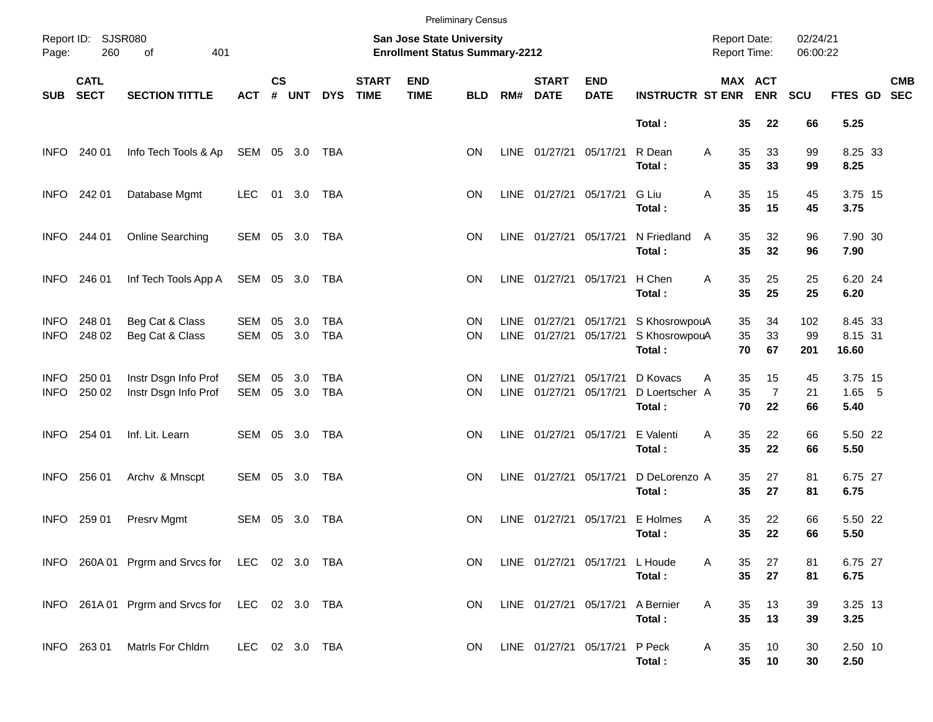|                            |                            |                                                 |                   |                    |            |                          |                             |                                                                    | <b>Preliminary Census</b> |      |                                    |                                |                                          |                                     |                       |                            |                      |                             |            |
|----------------------------|----------------------------|-------------------------------------------------|-------------------|--------------------|------------|--------------------------|-----------------------------|--------------------------------------------------------------------|---------------------------|------|------------------------------------|--------------------------------|------------------------------------------|-------------------------------------|-----------------------|----------------------------|----------------------|-----------------------------|------------|
| Page:                      | Report ID: SJSR080<br>260  | 401<br>of                                       |                   |                    |            |                          |                             | San Jose State University<br><b>Enrollment Status Summary-2212</b> |                           |      |                                    |                                |                                          | <b>Report Date:</b><br>Report Time: |                       |                            | 02/24/21<br>06:00:22 |                             |            |
| <b>SUB</b>                 | <b>CATL</b><br><b>SECT</b> | <b>SECTION TITTLE</b>                           | <b>ACT</b>        | $\mathsf{cs}$<br># | <b>UNT</b> | <b>DYS</b>               | <b>START</b><br><b>TIME</b> | <b>END</b><br><b>TIME</b>                                          | <b>BLD</b>                | RM#  | <b>START</b><br><b>DATE</b>        | <b>END</b><br><b>DATE</b>      | <b>INSTRUCTR ST ENR ENR</b>              |                                     | MAX ACT               |                            | <b>SCU</b>           | FTES GD SEC                 | <b>CMB</b> |
|                            |                            |                                                 |                   |                    |            |                          |                             |                                                                    |                           |      |                                    |                                | Total:                                   |                                     | 35                    | 22                         | 66                   | 5.25                        |            |
| <b>INFO</b>                | 240 01                     | Info Tech Tools & Ap                            | SEM 05 3.0        |                    |            | TBA                      |                             |                                                                    | <b>ON</b>                 |      | LINE 01/27/21 05/17/21             |                                | R Dean<br>Total:                         | Α                                   | 35<br>35              | 33<br>33                   | 99<br>99             | 8.25 33<br>8.25             |            |
| <b>INFO</b>                | 242 01                     | Database Mgmt                                   | <b>LEC</b>        | 01 3.0             |            | TBA                      |                             |                                                                    | <b>ON</b>                 |      | LINE 01/27/21 05/17/21             |                                | G Liu<br>Total:                          | Α                                   | 35<br>35              | 15<br>15                   | 45<br>45             | 3.75 15<br>3.75             |            |
| <b>INFO</b>                | 244 01                     | Online Searching                                | SEM 05 3.0        |                    |            | TBA                      |                             |                                                                    | <b>ON</b>                 |      | LINE 01/27/21 05/17/21             |                                | N Friedland<br>Total:                    | A                                   | 35<br>35              | 32<br>32                   | 96<br>96             | 7.90 30<br>7.90             |            |
| <b>INFO</b>                | 246 01                     | Inf Tech Tools App A                            | SEM 05 3.0        |                    |            | TBA                      |                             |                                                                    | <b>ON</b>                 |      | LINE 01/27/21 05/17/21             |                                | H Chen<br>Total:                         | A                                   | 35<br>35              | 25<br>25                   | 25<br>25             | 6.20 24<br>6.20             |            |
| <b>INFO</b><br><b>INFO</b> | 248 01<br>248 02           | Beg Cat & Class<br>Beg Cat & Class              | SEM<br><b>SEM</b> | 05<br>05 3.0       | 3.0        | TBA<br><b>TBA</b>        |                             |                                                                    | ON<br><b>ON</b>           |      | LINE 01/27/21<br>LINE 01/27/21     | 05/17/21<br>05/17/21           | S KhosrowpouA<br>S KhosrowpouA<br>Total: |                                     | 35<br>35<br>70        | 34<br>33<br>67             | 102<br>99<br>201     | 8.45 33<br>8.15 31<br>16.60 |            |
| <b>INFO</b><br><b>INFO</b> | 250 01<br>250 02           | Instr Dsgn Info Prof<br>Instr Dsgn Info Prof    | SEM<br>SEM        | 05<br>05 3.0       | 3.0        | <b>TBA</b><br><b>TBA</b> |                             |                                                                    | ON<br>ON                  | LINE | 01/27/21<br>LINE 01/27/21 05/17/21 | 05/17/21                       | D Kovacs<br>D Loertscher A<br>Total:     | Α                                   | 35<br>35<br>70        | 15<br>$\overline{7}$<br>22 | 45<br>21<br>66       | 3.75 15<br>$1.65$ 5<br>5.40 |            |
| <b>INFO</b>                | 254 01                     | Inf. Lit. Learn                                 | SEM 05 3.0        |                    |            | <b>TBA</b>               |                             |                                                                    | <b>ON</b>                 |      | LINE 01/27/21 05/17/21             |                                | E Valenti<br>Total:                      | A                                   | 35<br>35              | 22<br>22                   | 66<br>66             | 5.50 22<br>5.50             |            |
| <b>INFO</b>                | 256 01                     | Archv & Mnscpt                                  | SEM 05 3.0        |                    |            | TBA                      |                             |                                                                    | <b>ON</b>                 |      | LINE 01/27/21 05/17/21             |                                | D DeLorenzo A<br>Total:                  |                                     | 35<br>35              | 27<br>27                   | 81<br>81             | 6.75 27<br>6.75             |            |
| <b>INFO</b>                | 259 01                     | Presrv Mgmt                                     | SEM               | 05 3.0             |            | TBA                      |                             |                                                                    | <b>ON</b>                 |      | LINE 01/27/21 05/17/21             |                                | E Holmes<br>Total:                       | Α                                   | 35<br>35              | 22<br>22                   | 66<br>66             | 5.50 22<br>5.50             |            |
|                            |                            | INFO 260A 01 Prgrm and Srvcs for LEC 02 3.0 TBA |                   |                    |            |                          |                             |                                                                    | ON.                       |      |                                    | LINE 01/27/21 05/17/21 L Houde | Total:                                   | A                                   | 35<br>35              | 27<br>27                   | 81<br>81             | 6.75 27<br>6.75             |            |
|                            |                            | INFO 261A 01 Prgrm and Srvcs for LEC 02 3.0 TBA |                   |                    |            |                          |                             |                                                                    | <b>ON</b>                 |      | LINE 01/27/21 05/17/21             |                                | A Bernier<br>Total:                      | Α                                   | 35<br>35              | 13<br>13                   | 39<br>39             | 3.25 13<br>3.25             |            |
|                            | INFO 263 01                | Matrls For Chldrn                               | LEC 02 3.0 TBA    |                    |            |                          |                             |                                                                    | ON.                       |      | LINE 01/27/21 05/17/21             |                                | P Peck<br>Total:                         | A                                   | 35<br>$35\phantom{a}$ | 10<br>10                   | 30<br>30             | 2.50 10<br>2.50             |            |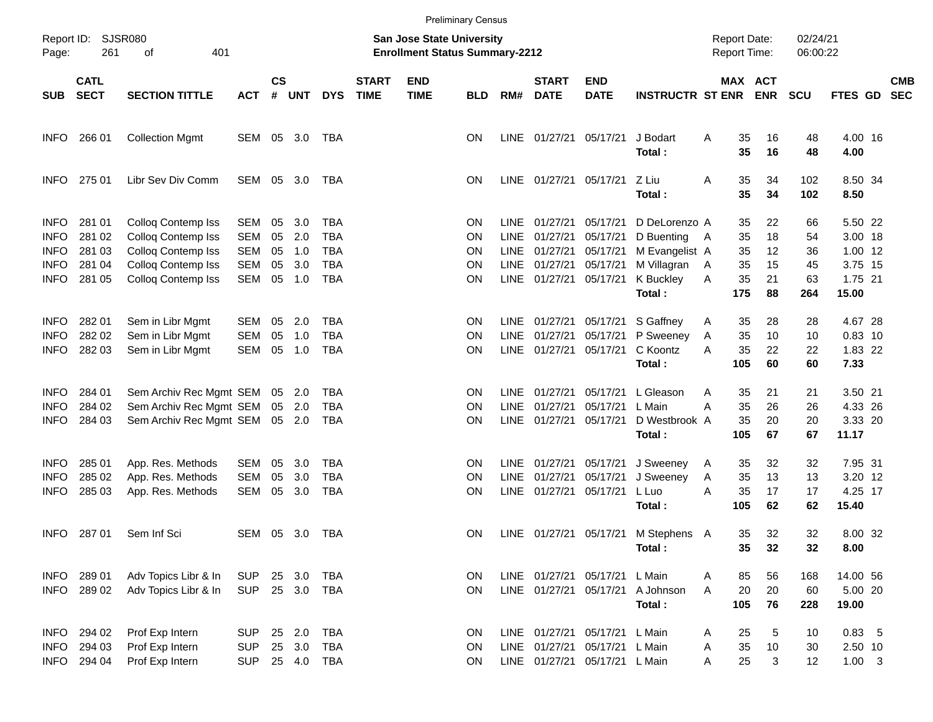|                                                                         |                                                |                                                                                                                   |                                                             |                            |                                 |                                                                           |                             |                           | <b>Preliminary Census</b>                       |                                                    |                                                          |                                                          |                                                                           |                                            |                              |                            |                            |                                                     |                          |
|-------------------------------------------------------------------------|------------------------------------------------|-------------------------------------------------------------------------------------------------------------------|-------------------------------------------------------------|----------------------------|---------------------------------|---------------------------------------------------------------------------|-----------------------------|---------------------------|-------------------------------------------------|----------------------------------------------------|----------------------------------------------------------|----------------------------------------------------------|---------------------------------------------------------------------------|--------------------------------------------|------------------------------|----------------------------|----------------------------|-----------------------------------------------------|--------------------------|
| Page:                                                                   | Report ID: SJSR080<br>261<br>401<br>οf         |                                                                                                                   |                                                             |                            |                                 | <b>San Jose State University</b><br><b>Enrollment Status Summary-2212</b> |                             |                           |                                                 |                                                    |                                                          |                                                          |                                                                           | <b>Report Date:</b><br><b>Report Time:</b> |                              | 02/24/21<br>06:00:22       |                            |                                                     |                          |
| <b>SUB</b>                                                              | <b>CATL</b><br><b>SECT</b>                     | <b>SECTION TITTLE</b>                                                                                             | <b>ACT</b>                                                  | $\mathsf{cs}$<br>#         | <b>UNT</b>                      | <b>DYS</b>                                                                | <b>START</b><br><b>TIME</b> | <b>END</b><br><b>TIME</b> | <b>BLD</b>                                      | RM#                                                | <b>START</b><br><b>DATE</b>                              | <b>END</b><br><b>DATE</b>                                | <b>INSTRUCTR ST ENR</b>                                                   |                                            | MAX ACT                      | <b>ENR</b>                 | <b>SCU</b>                 | <b>FTES GD</b>                                      | <b>CMB</b><br><b>SEC</b> |
| <b>INFO</b>                                                             | 266 01                                         | <b>Collection Mgmt</b>                                                                                            | SEM                                                         | 05                         | 3.0                             | TBA                                                                       |                             |                           | <b>ON</b>                                       | LINE                                               | 01/27/21                                                 | 05/17/21                                                 | J Bodart<br>Total:                                                        | A                                          | 35<br>35                     | 16<br>16                   | 48<br>48                   | 4.00 16<br>4.00                                     |                          |
| <b>INFO</b>                                                             | 275 01                                         | Libr Sev Div Comm                                                                                                 | SEM                                                         | 05                         | - 3.0                           | TBA                                                                       |                             |                           | <b>ON</b>                                       |                                                    | LINE 01/27/21                                            | 05/17/21                                                 | Z Liu<br>Total:                                                           | A                                          | 35<br>35                     | 34<br>34                   | 102<br>102                 | 8.50 34<br>8.50                                     |                          |
| <b>INFO</b><br><b>INFO</b><br><b>INFO</b><br><b>INFO</b><br><b>INFO</b> | 281 01<br>281 02<br>281 03<br>281 04<br>281 05 | Colloq Contemp Iss<br>Colloq Contemp Iss<br>Colloq Contemp Iss<br>Colloq Contemp Iss<br><b>Collog Contemp Iss</b> | SEM<br><b>SEM</b><br><b>SEM</b><br><b>SEM</b><br><b>SEM</b> | 05<br>05<br>05<br>05<br>05 | 3.0<br>2.0<br>1.0<br>3.0<br>1.0 | TBA<br><b>TBA</b><br><b>TBA</b><br><b>TBA</b><br><b>TBA</b>               |                             |                           | <b>ON</b><br><b>ON</b><br>ON<br>ON<br><b>ON</b> | <b>LINE</b><br><b>LINE</b><br>LINE<br>LINE<br>LINE | 01/27/21<br>01/27/21<br>01/27/21<br>01/27/21<br>01/27/21 | 05/17/21<br>05/17/21<br>05/17/21<br>05/17/21<br>05/17/21 | D DeLorenzo A<br>D Buenting<br>M Evangelist A<br>M Villagran<br>K Buckley | - A<br>A<br>A                              | 35<br>35<br>35<br>35<br>35   | 22<br>18<br>12<br>15<br>21 | 66<br>54<br>36<br>45<br>63 | 5.50 22<br>3.00 18<br>1.00 12<br>3.75 15<br>1.75 21 |                          |
| <b>INFO</b><br><b>INFO</b><br><b>INFO</b>                               | 282 01<br>282 02<br>282 03                     | Sem in Libr Mgmt<br>Sem in Libr Mgmt<br>Sem in Libr Mgmt                                                          | SEM<br><b>SEM</b><br><b>SEM</b>                             | 05<br>05<br>05             | 2.0<br>1.0<br>1.0               | TBA<br><b>TBA</b><br><b>TBA</b>                                           |                             |                           | <b>ON</b><br><b>ON</b><br>ΟN                    | LINE<br><b>LINE</b><br>LINE                        | 01/27/21<br>01/27/21<br>01/27/21                         | 05/17/21<br>05/17/21<br>05/17/21                         | Total:<br>S Gaffney<br>P Sweeney<br>C Koontz                              | A<br>Α<br>Α                                | 175<br>35<br>35<br>35        | 88<br>28<br>10<br>22       | 264<br>28<br>10<br>22      | 15.00<br>4.67 28<br>$0.83$ 10<br>1.83 22            |                          |
| <b>INFO</b><br><b>INFO</b><br><b>INFO</b>                               | 284 01<br>284 02<br>284 03                     | Sem Archiv Rec Mgmt SEM<br>Sem Archiv Rec Mgmt SEM<br>Sem Archiv Rec Mgmt SEM                                     |                                                             | 05<br>05                   | 2.0<br>2.0<br>05 2.0            | TBA<br>TBA<br><b>TBA</b>                                                  |                             |                           | <b>ON</b><br>ON<br>ΟN                           | <b>LINE</b><br><b>LINE</b><br><b>LINE</b>          | 01/27/21<br>01/27/21<br>01/27/21                         | 05/17/21<br>05/17/21<br>05/17/21                         | Total:<br>L Gleason<br>L Main<br>D Westbrook A                            | A<br>Α                                     | 105<br>35<br>35<br>35        | 60<br>21<br>26<br>20       | 60<br>21<br>26<br>20       | 7.33<br>3.50 21<br>4.33 26<br>3.33 20               |                          |
| <b>INFO</b><br><b>INFO</b><br><b>INFO</b>                               | 285 01<br>285 02<br>285 03                     | App. Res. Methods<br>App. Res. Methods<br>App. Res. Methods                                                       | SEM<br><b>SEM</b><br><b>SEM</b>                             | 05<br>05<br>05             | 3.0<br>3.0<br>3.0               | TBA<br><b>TBA</b><br><b>TBA</b>                                           |                             |                           | ON<br>ON<br>ΟN                                  | <b>LINE</b><br><b>LINE</b><br>LINE                 | 01/27/21<br>01/27/21<br>01/27/21                         | 05/17/21<br>05/17/21<br>05/17/21                         | Total:<br>J Sweeney<br>J Sweeney<br>L Luo<br>Total:                       | A<br>A<br>A                                | 105<br>35<br>35<br>35<br>105 | 67<br>32<br>13<br>17<br>62 | 67<br>32<br>13<br>17<br>62 | 11.17<br>7.95 31<br>3.20 12<br>4.25 17<br>15.40     |                          |
| <b>INFO</b>                                                             | 287 01                                         | Sem Inf Sci                                                                                                       | SEM 05 3.0                                                  |                            |                                 | TBA                                                                       |                             |                           | <b>ON</b>                                       |                                                    | LINE 01/27/21                                            | 05/17/21                                                 | M Stephens A<br>Total:                                                    |                                            | 35<br>35                     | 32<br>32                   | 32<br>32                   | 8.00 32<br>8.00                                     |                          |
| <b>INFO</b><br><b>INFO</b>                                              | 289 01<br>289 02                               | Adv Topics Libr & In<br>Adv Topics Libr & In                                                                      | <b>SUP</b><br>SUP                                           |                            | 25 3.0<br>25 3.0                | TBA<br>TBA                                                                |                             |                           | <b>ON</b><br>ON                                 |                                                    | LINE 01/27/21<br>LINE 01/27/21                           | 05/17/21<br>05/17/21                                     | L Main<br>A Johnson<br>Total:                                             | Α<br>A                                     | 85<br>20<br>105              | 56<br>20<br>76             | 168<br>60<br>228           | 14.00 56<br>5.00 20<br>19.00                        |                          |
| <b>INFO</b><br><b>INFO</b><br><b>INFO</b>                               | 294 02<br>294 03<br>294 04                     | Prof Exp Intern<br>Prof Exp Intern<br>Prof Exp Intern                                                             | <b>SUP</b><br><b>SUP</b><br><b>SUP</b>                      | 25                         | 2.0<br>25 3.0<br>25 4.0         | <b>TBA</b><br><b>TBA</b><br>TBA                                           |                             |                           | ON<br>ON<br><b>ON</b>                           |                                                    | LINE 01/27/21<br>LINE 01/27/21<br>LINE 01/27/21          | 05/17/21<br>05/17/21<br>05/17/21 L Main                  | L Main<br>L Main                                                          | Α<br>Α<br>Α                                | 25<br>35<br>25               | 5<br>10<br>3               | 10<br>30<br>12             | $0.83$ 5<br>2.50 10<br>$1.00 \t3$                   |                          |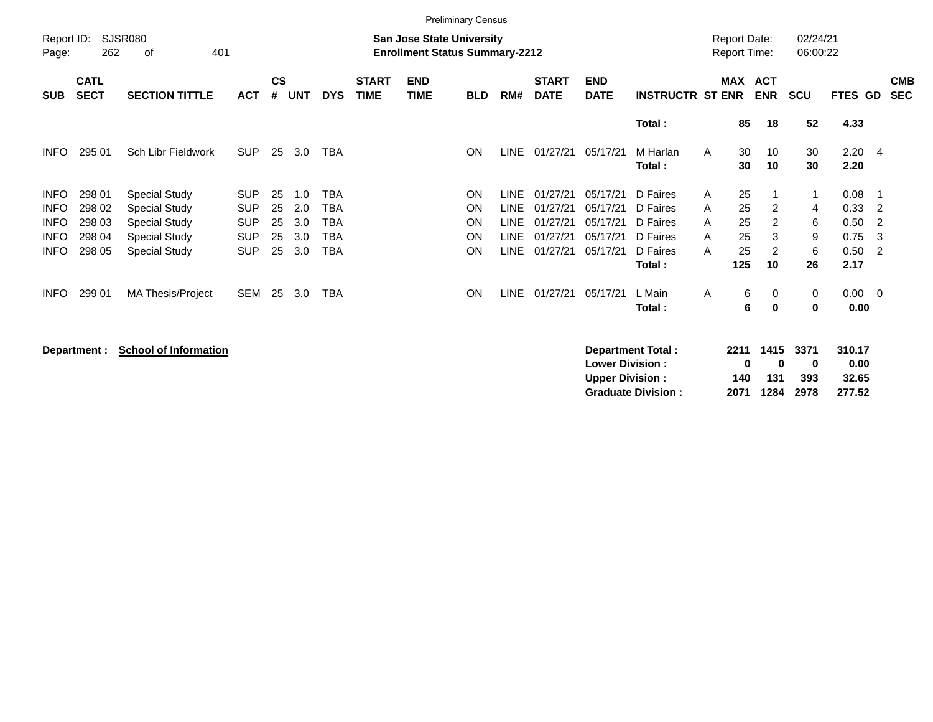|                     | <b>Preliminary Census</b>  |                             |            |                    |            |            |                             |                                                                           |            |             |                             |                           |                         |                                            |                          |                |                      |                |                            |                          |
|---------------------|----------------------------|-----------------------------|------------|--------------------|------------|------------|-----------------------------|---------------------------------------------------------------------------|------------|-------------|-----------------------------|---------------------------|-------------------------|--------------------------------------------|--------------------------|----------------|----------------------|----------------|----------------------------|--------------------------|
| Report ID:<br>Page: | 262                        | <b>SJSR080</b><br>401<br>οf |            |                    |            |            |                             | <b>San Jose State University</b><br><b>Enrollment Status Summary-2212</b> |            |             |                             |                           |                         | <b>Report Date:</b><br><b>Report Time:</b> |                          |                | 02/24/21<br>06:00:22 |                |                            |                          |
| <b>SUB</b>          | <b>CATL</b><br><b>SECT</b> | <b>SECTION TITTLE</b>       | <b>ACT</b> | $\mathsf{cs}$<br># | <b>UNT</b> | <b>DYS</b> | <b>START</b><br><b>TIME</b> | <b>END</b><br><b>TIME</b>                                                 | <b>BLD</b> | RM#         | <b>START</b><br><b>DATE</b> | <b>END</b><br><b>DATE</b> | <b>INSTRUCTR ST ENR</b> | <b>MAX</b>                                 | <b>ACT</b><br><b>ENR</b> |                | <b>SCU</b>           | <b>FTES GD</b> |                            | <b>CMB</b><br><b>SEC</b> |
|                     |                            |                             |            |                    |            |            |                             |                                                                           |            |             |                             |                           | Total:                  | 85                                         |                          | 18             | 52                   | 4.33           |                            |                          |
| <b>INFO</b>         | 295 01                     | Sch Libr Fieldwork          | <b>SUP</b> | 25                 | 3.0        | <b>TBA</b> |                             |                                                                           | <b>ON</b>  | <b>LINE</b> | 01/27/21                    | 05/17/21                  | M Harlan<br>Total:      | 30<br>A<br>30                              |                          | 10<br>10       | 30<br>30             | 2.20<br>2.20   | $\overline{4}$             |                          |
| <b>INFO</b>         | 298 01                     | <b>Special Study</b>        | <b>SUP</b> | 25                 | 1.0        | TBA        |                             |                                                                           | <b>ON</b>  | <b>LINE</b> | 01/27/21                    | 05/17/21                  | D Faires                | 25<br>A                                    |                          |                | 1                    | 0.08           | - 1                        |                          |
| <b>INFO</b>         | 298 02                     | <b>Special Study</b>        | <b>SUP</b> | 25                 | 2.0        | TBA        |                             |                                                                           | <b>ON</b>  | <b>LINE</b> | 01/27/21                    | 05/17/21                  | D Faires                | 25<br>A                                    |                          | 2              | 4                    | 0.33           | $\overline{2}$             |                          |
| <b>INFO</b>         | 298 03                     | <b>Special Study</b>        | <b>SUP</b> | 25                 | 3.0        | TBA        |                             |                                                                           | <b>ON</b>  | <b>LINE</b> | 01/27/21                    | 05/17/21                  | D Faires                | 25<br>A                                    |                          | $\overline{2}$ | 6                    | 0.50           | $\overline{2}$             |                          |
| <b>INFO</b>         | 298 04                     | <b>Special Study</b>        | <b>SUP</b> | 25                 | 3.0        | TBA        |                             |                                                                           | <b>ON</b>  | <b>LINE</b> | 01/27/21                    | 05/17/21                  | D Faires                | 25<br>A                                    |                          | 3              | 9                    | 0.75           | -3                         |                          |
| <b>INFO</b>         | 298 05                     | <b>Special Study</b>        | <b>SUP</b> | 25                 | 3.0        | TBA        |                             |                                                                           | <b>ON</b>  | <b>LINE</b> | 01/27/21                    | 05/17/21                  | D Faires                | 25<br>A                                    |                          | 2              | 6                    | 0.50           | $\overline{\phantom{0}}^2$ |                          |
|                     |                            |                             |            |                    |            |            |                             |                                                                           |            |             |                             |                           | Total:                  | 125                                        |                          | 10             | 26                   | 2.17           |                            |                          |
| <b>INFO</b>         | 299 01                     | <b>MA Thesis/Project</b>    | SEM        | 25                 | 3.0        | TBA        |                             |                                                                           | <b>ON</b>  | LINE        | 01/27/21                    | 05/17/21                  | L Main                  | A                                          | 6                        | 0              | 0                    | $0.00 \t 0$    |                            |                          |
|                     |                            |                             |            |                    |            |            |                             |                                                                           |            |             |                             |                           | Total :                 |                                            | 6                        | 0              | 0                    | 0.00           |                            |                          |

**Department : School of Information** 

| Department Total:         |     | 2211 1415 3371 |      | 310.17 |
|---------------------------|-----|----------------|------|--------|
| <b>Lower Division:</b>    | 0   | n              | o    | 0.00   |
| <b>Upper Division:</b>    | 140 | 131            | -393 | 32.65  |
| <b>Graduate Division:</b> |     | 2071 1284 2978 |      | 277.52 |